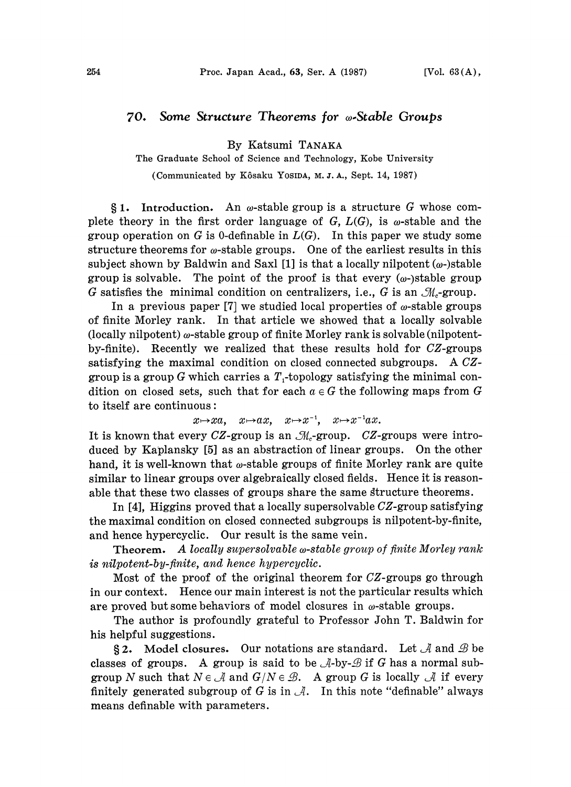## 70. Some Structure Theorems for *w*-Stable Groups

By Katsumi TANAKA

The Graduate School of Science and Technology, Kobe University

(Communicated by Kôsaku YosiDA, M.J.A., Sept. 14, 1987)

 $§ 1.$  Introduction. An  $\omega$ -stable group is a structure G whose complete theory in the first order language of  $G, L(G)$ , is  $\omega$ -stable and the group operation on G is 0-definable in  $L(G)$ . In this paper we study some structure theorems for  $\omega$ -stable groups. One of the earliest results in this subject shown by Baldwin and Saxl  $[1]$  is that a locally nilpotent  $(\omega)$ -stable group is solvable. The point of the proof is that every  $(\omega$ -)stable group G satisfies the minimal condition on centralizers, i.e., G is an  $\mathcal{M}_c$ -group.

In a previous paper [7] we studied local properties of  $\omega$ -stable groups of finite Morley rank. In that article we showed that a locally solvable (locally nilpotent)  $\omega$ -stable group of finite Morley rank is solvable (nilpotentby-finite). Recently we realized that these results hold for CZ-groups satisfying the maximal condition on closed connected subgroups. A CZgroup is a group G which carries a  $T_1$ -topology satisfying the minimal condition on closed sets, such that for each  $a \in G$  the following maps from G to itself are continuous:

 $x \mapsto xa$ ,  $x \mapsto ax$ ,  $x \mapsto x^{-1}$ ,  $x \mapsto x^{-1}ax$ .

It is known that every CZ-group is an  $\mathcal{M}_c$ -group. CZ-groups were introduced by Kaplansky [5] as an abstraction of linear groups. On the other hand, it is well-known that  $\omega$ -stable groups of finite Morley rank are quite similar to linear groups over algebraically closed fields. Hence it is reasonable that these two classes of groups share the same gtructure theorems.

In [4], Higgins proved that a locally supersolvable CZ-group satisfying the maximal condition on closed connected subgroups is nilpotent-by-finite, and hence hypercyclic. Our result is the same vein.

**Theorem.** A locally supersolvable  $\omega$ -stable group of finite Morley rank is nilpotent-by-finite, and hence hypercyclic.

Most of the proof of the original theorem for CZ-groups go through in our context. Hence our main interest is not the particular results which are proved but some behaviors of model closures in  $\omega$ -stable groups.

The author is profoundly grateful to Professor John T. Baldwin for his helpful suggestions.

§2. Model closures. Our notations are standard. Let  $\mathcal A$  and  $\mathcal B$  be classes of groups. A group is said to be  $\mathcal{A}$ -by- $\mathcal{B}$  if G has a normal subgroup N such that  $N \in \mathcal{A}$  and  $G/N \in \mathcal{B}$ . A group G is locally  $\mathcal{A}$  if every finitely generated subgroup of G is in  $\mathcal{A}$ . In this note "definable" always means definable with parameters.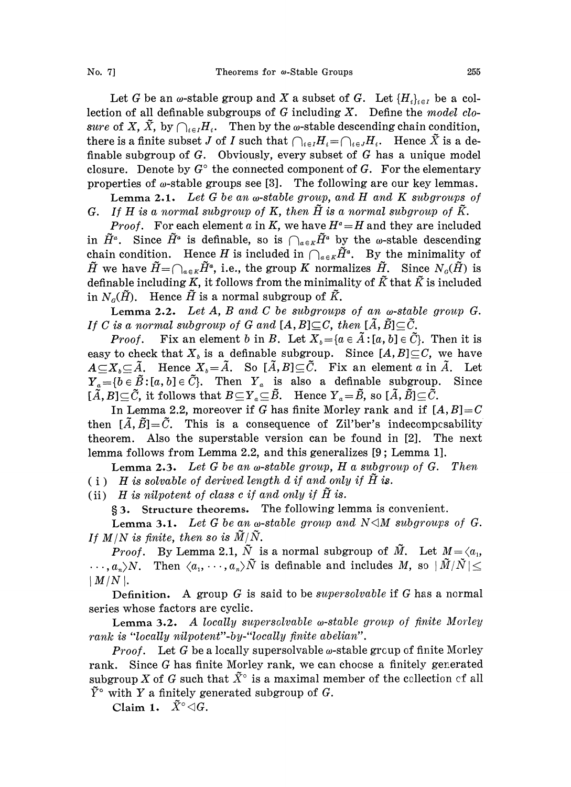Let G be an  $\omega$ -stable group and X a subset of G. Let  $\{H_i\}_{i\in I}$  be a collection of all definable subgroups of  $G$  including  $X$ . Define the model closure of X,  $\tilde{X}$ , by  $\bigcap_{i\in I}H_i$ . Then by the  $\omega$ -stable descending chain condition, there is a finite subset J of I such that  $\bigcap_{i\in I} H_i = \bigcap_{i\in J} H_i$ . Hence  $\tilde{X}$  is a definable subgroup of  $G$ . Obviously, every subset of  $G$  has a unique model closure. Denote by  $G^{\circ}$  the connected component of G. For the elementary properties of  $\omega$ -stable groups see [3]. The following are our key lemmas.

**Lemma 2.1.** Let G be an  $\omega$ -stable group, and H and K subgroups of G. If H is a normal subgroup of K, then  $\tilde{H}$  is a normal subgroup of  $\tilde{K}$ .

*Proof.* For each element a in K, we have  $H^a = H$  and they are included in  $\tilde{H}^a$ . Since  $\tilde{H}^a$  is definable, so is  $\bigcap_{a\in K}\tilde{H}^a$  by the w-stable descending chain condition. Hence H is included in  $\bigcap_{\alpha \in K} \tilde{H}^a$ . By the minimality of  $\tilde{H}$  we have  $\tilde{H}=\bigcap_{a\in K}\tilde{H}^a$ , i.e., the group K normalizes  $\tilde{H}$ . Since  $N_o(\tilde{H})$  is definable including K, it follows from the minimality of  $\tilde{K}$  that  $\tilde{K}$  is included in  $N_c(\tilde{H})$ . Hence  $\tilde{H}$  is a normal subgroup of  $\tilde{K}$ .

**Lemma 2.2.** Let A, B and C be subgroups of an  $\omega$ -stable group G. If C is a normal subgroup of G and  $[A, B] \subseteq C$ , then  $[\tilde{A}, \tilde{B}] \subseteq \tilde{C}$ .

*Proof.* Fix an element b in B. Let  $X_i = \{a \in \tilde{A} : [a, b] \in \tilde{C}\}\$ . Then it is easy to check that  $X_i$  is a definable subgroup. Since  $[A, B] \subseteq C$ , we have  $A\subseteq X_\delta\subseteq \tilde{A}$ . Hence  $X_\delta=\tilde{A}$ . So  $[\tilde{A},B]\subseteq \tilde{C}$ . Fix an element a in  $\tilde{A}$ . Let  $Y_a = \{b \in \tilde{B}: [a, b] \in \tilde{C}\}\$ . Then  $Y_a$  is also a definable subgroup. Since  $[\tilde{A}, B] \subseteq \tilde{C}$ , it follows that  $B \subseteq Y_a \subseteq \tilde{B}$ . Hence  $Y_a = \tilde{B}$ , so  $[\tilde{A}, \tilde{B}] \subseteq \tilde{C}$ .

In Lemma 2.2, moreover if G has finite Morley rank and if  $[A, B]=C$ then  $[\tilde{A}, \tilde{B}]=\tilde{C}$ . This is a consequence of Zil'ber's indecomposability theorem. Also the superstable version can be found in [2]. The next lemma follows from Lemma 2.2, and this generalizes [9; Lemma 1].

**Lemma 2.3.** Let G be an  $\omega$ -stable group, H a subgroup of G. Then (i) H is solvable of derived length  $d$  if and only if  $\tilde{H}$  is.

(ii)  $H$  is nilpotent of class c if and only if  $\tilde{H}$  is.

3. Structure theorems. The following lemma is convenient.

Lemma 3.1. Let G be an  $\omega$ -stable group and N $\triangleleft M$  subgroups of G. If  $M/N$  is finite, then so is  $\widetilde{M}/\widetilde{N}$ .

*Proof.* By Lemma 2.1,  $\tilde{N}$  is a normal subgroup of  $\tilde{M}$ . Let  $M = \langle a_1, a_2 \rangle$  $\ldots, a_n \rangle N$ . Then  $\langle a_1, \ldots, a_n \rangle \tilde{N}$  is definable and includes M, so  $|\tilde{M}/\tilde{N}| \leq$  $\mid M/N \mid.$ 

Definition. A group  $G$  is said to be *supersolvable* if  $G$  has a normal series whose factors are cyclic.

Lemma 3.2. A locally supersolvable  $\omega$ -stable group of finite Morley rank is "locally nilpotent"-by-"locally finite abelian".

**Proof.** Let G be a locally supersolvable  $\omega$ -stable group of finite Morley rank. Since G has finite Morley rank, we can choose a finitely generated subgroup X of G such that  $\tilde{X}^{\circ}$  is a maximal member of the collection of all  $\tilde{Y}^{\circ}$  with Y a finitely generated subgroup of G.

Claim 1.  $\tilde{X}^{\circ} \triangleleft G$ .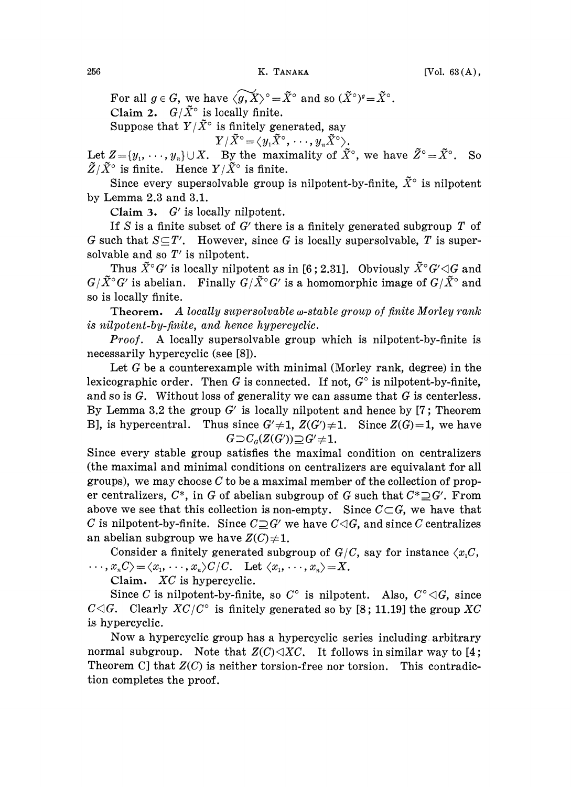256 **K. Тамака** [Vol. 63(A),

For all  $g \in G$ , we have  $\langle \widetilde{g}, X \rangle^\circ = \widetilde{X}^\circ$  and so  $(\widetilde{X}^\circ)^g = \widetilde{X}^\circ$ . Claim 2.  $G/\tilde{X}^{\circ}$  is locally finite. Suppose that  $Y/\tilde{X}^{\circ}$  is finitely generated, say

$$
Y/\tilde X^\circ \!=\! \langle y_1 \tilde X^\circ, \cdot \cdot \cdot, y_n \tilde X^\circ \rangle.
$$

Let  $Z = \{y_1, \dots, y_n\} \cup X$ . By the maximality of  $\tilde{X}^{\circ}$ , we have  $\tilde{Z}^{\circ} = \tilde{X}^{\circ}$ . So  $\widetilde{Z}/\widetilde{X}^{\circ}$  is finite. Hence  $Y/\widetilde{X}^{\circ}$  is finite.

Since every supersolvable group is nilpotent-by-finite,  $\tilde{X}^{\circ}$  is nilpotent by Lemma 2.3 and 3.1.

Claim 3. G' is locally nilpotent.

If S is a finite subset of  $G'$  there is a finitely generated subgroup  $T$  of G such that  $S \subseteq T'$ . However, since G is locally supersolvable, T is supersolvable and so  $T'$  is nilpotent.

Thus  $\tilde{X}^{\circ}G'$  is locally nilpotent as in [6; 2.31]. Obviously  $\tilde{X}^{\circ}G'\triangleleft G$  and  $G/\tilde{X}$ <sup>o</sup> $G'$  is abelian. Finally  $G/\tilde{X}$ <sup>o</sup> $G'$  is a homomorphic image of  $G/\tilde{X}$ <sup>o</sup> and so is locally finite.

Theorem. A locally supersolvable  $\omega$ -stable group of finite Morley rank is nilpotent-by-finite, and hence hypercyclic.

Proof. A locally supersolvable group which is nilpotent-by-finite is necessarily hypercyclic (see [8]).

Let G be a counterexample with minimal (Morley rank, degree) in the lexicographic order. Then G is connected. If not,  $G^{\circ}$  is nilpotent-by-finite, and so is  $G$ . Without loss of generality we can assume that  $G$  is centerless. By Lemma 3.2 the group  $G'$  is locally nilpotent and hence by [7; Theorem B], is hypercentral. Thus since  $G' \neq 1$ ,  $Z(G') \neq 1$ . Since  $Z(G)=1$ , we have  $G \supset C<sub>a</sub>(Z(G')) \supseteq G' \neq 1$ .

Since every stable group satisfies the maximal condition on centralizers (the maximal and minimal conditions on centralizers are equivalant for all groups), we may choose  $C$  to be a maximal member of the collection of proper centralizers,  $C^*$ , in G of abelian subgroup of G such that  $C^* \supseteq G'$ . From above we see that this collection is non-empty. Since  $C\subset G$ , we have that C is nilpotent-by-finite. Since  $C\square G'$  we have  $C\square G$ , and since C centralizes an abelian subgroup we have  $Z(C) \neq 1$ .

Consider a finitely generated subgroup of  $G/C$ , say for instance  $\langle x,C, \rangle$  $\langle x_1, \ldots, x_nC \rangle = \langle x_1, \ldots, x_n \rangle C/C.$  Let  $\langle x_1, \ldots, x_n \rangle = X$ .

Claim. XC is hypercyclic.

Since C is nilpotent-by-finite, so  $C^{\circ}$  is nilpotent. Also,  $C^{\circ} \triangleleft G$ , since  $C \triangleleft G$ . Clearly  $XC/C^{\circ}$  is finitely generated so by [8; 11.19] the group XC is hypercyclic.

Now a hypercyclic group has a hypercyclic series including arbitrary normal subgroup. Note that  $Z(C) \triangleleft XC$ . It follows in similar way to [4; Theorem C] that  $Z(C)$  is neither torsion-free nor torsion. This contradiction completes the proof.